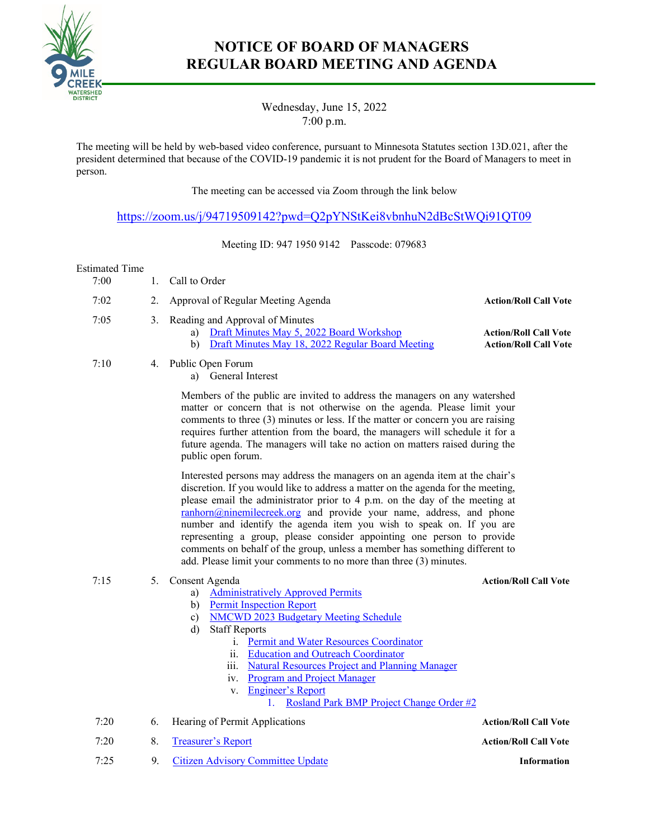

## **NOTICE OF BOARD OF MANAGERS REGULAR BOARD MEETING AND AGENDA**

Wednesday, June 15, 2022 7:00 p.m.

The meeting will be held by web-based video conference, pursuant to Minnesota Statutes section 13D.021, after the president determined that because of the COVID-19 pandemic it is not prudent for the Board of Managers to meet in person.

The meeting can be accessed via Zoom through the link below

[https://zoom.us/j/94719509142?pwd=Q2pYNStKei8vbnhuN2dBcStWQi91QT09](https://nam02.safelinks.protection.outlook.com/?url=https%3A%2F%2Fzoom.us%2Fj%2F94719509142%3Fpwd%3DQ2pYNStKei8vbnhuN2dBcStWQi91QT09&data=04%7C01%7C%7C56fbb6767bb443b9b41508d89ac8b854%7C2919a9738bd9474bab188efe78993b13%7C0%7C0%7C637429534172885097%7CUnknown%7CTWFpbGZsb3d8eyJWIjoiMC4wLjAwMDAiLCJQIjoiV2luMzIiLCJBTiI6Ik1haWwiLCJXVCI6Mn0%3D%7C1000&sdata=3gTH6NLPFLfrZtJjNlyEWRjW8p4f07vHUblZneXKdjg%3D&reserved=0)

Meeting ID: 947 1950 9142 Passcode: 079683

## Estimated Time

- 7:00 1. Call to Order
- 7:02 2. Approval of Regular Meeting Agenda **Action/Roll Call Vote**
- 3. Reading and Approval of Minutes
	- a) [Draft Minutes May 5, 2022 Board](https://ninemilecreekwatershed.sharepoint.com/:b:/s/NMCWSDguest/Ef1s0wZtcZRNpwUaQrUpia0Bo48ZJTlWE6WbHbl1NqiSjQ?e=vmOCtR) Workshop **Action/Roll Call Vote** 
		- b) [Draft Minutes May 18, 2022 Regular Board Meeting](https://ninemilecreekwatershed.sharepoint.com/:b:/s/NMCWSDguest/ESMEarywZIROio3QGKszeSoBLAddJvAZu4Qi6zHOQiUMvg?e=sd9698) **Action/Roll Call Vote**

7:10 4. Public Open Forum

a) General Interest

Members of the public are invited to address the managers on any watershed matter or concern that is not otherwise on the agenda. Please limit your comments to three (3) minutes or less. If the matter or concern you are raising requires further attention from the board, the managers will schedule it for a future agenda. The managers will take no action on matters raised during the public open forum.

Interested persons may address the managers on an agenda item at the chair's discretion. If you would like to address a matter on the agenda for the meeting, please email the administrator prior to 4 p.m. on the day of the meeting at [ranhorn@ninemilecreek.org](mailto:ranhorn@ninemilecreek.org) and provide your name, address, and phone number and identify the agenda item you wish to speak on. If you are representing a group, please consider appointing one person to provide comments on behalf of the group, unless a member has something different to add. Please limit your comments to no more than three (3) minutes.

## 7:15 5. Consent Agenda **Action/Roll Call Vote**

- a) [Administratively Approved Permits](https://ninemilecreekwatershed.sharepoint.com/:b:/s/NMCWSDguest/EQhaP-Wg4hJCu16Xck6dbykBe0X3U79MRT5LfVzOw7FAlQ?e=qOxV8r)
- b) [Permit Inspection Report](https://ninemilecreekwatershed.sharepoint.com/:b:/s/NMCWSDguest/EWsfWFjr2jZHpcPArg7rLEQBDF-gkqLNarcMWJFNR_XBzQ?e=nqusEp)
- c) [NMCWD 2023 Budgetary Meeting Schedule](https://ninemilecreekwatershed.sharepoint.com/:b:/s/NMCWSDguest/EQleGoU-n1xJgbkmP0eF4qUBACdNmt88Kc0haM7AkOCiaQ?e=iI6FWP)
- d) Staff Reports
	- i. [Permit and Water Resources Coordinator](https://ninemilecreekwatershed.sharepoint.com/:b:/s/NMCWSDguest/ETSxBgZQ0qhKlNEjpE_GkukBNkUBPti7FFMtmBttWu3aCA?e=pgXzWS)
	- ii. [Education and Outreach Coordinator](https://ninemilecreekwatershed.sharepoint.com/:b:/s/NMCWSDguest/ERtrJR2mObpMuWQlxgSfCbcBwhN6tzCuVKfwuyMGUmC8vA?e=llQMpB)
	- iii. [Natural Resources Project and Planning Manager](https://ninemilecreekwatershed.sharepoint.com/:b:/s/NMCWSDguest/EUARFK9OSz5JpgobDylCPQYB0fmimpue4oy3_rHO4ywyLA?e=eXORdN)
	- iv. [Program and Project Manager](https://ninemilecreekwatershed.sharepoint.com/:b:/s/NMCWSDguest/EZ-4YH9YFXxCkulfMel3VEsBgo6MuIfL4sVGF9KamK-b0A?e=EaUW4K)
	- v. [Engineer's Report](https://ninemilecreekwatershed.sharepoint.com/:b:/s/NMCWSDguest/EQgkR6o4yPFClx8bhPS-e98BhlhhjNhUqbpR24x-45EJjQ?e=VuJAC9)
		- 1. Rosland Park [BMP Project Change Order #2](https://ninemilecreekwatershed.sharepoint.com/:b:/s/NMCWSDguest/ETld8Wr6YNROuS1dFSLGVKEBiEIaZbg3K0Rs0U5mmPpYmw?e=1hi3bn)
- 7:20 6. Hearing of Permit Applications **Action/Roll Call Vote**
- 7:20 8. [Treasurer's Report](https://ninemilecreekwatershed.sharepoint.com/:b:/s/NMCWSDguest/ET-4araQeyNOnwSpJVUCSnwBvzUVVv2gswNy-nzVKRvS2w?e=J76qmn) **Action/Roll Call Vote**
- 7:25 9. Citizen Advisory Committee [Update](https://ninemilecreekwatershed.sharepoint.com/:b:/s/NMCWSDguest/EbcuR_jpbK5Hnd1BK_bhqvUB7DFavQMtYWH0K003KNI-ZQ?e=2PIAtp) **Information**